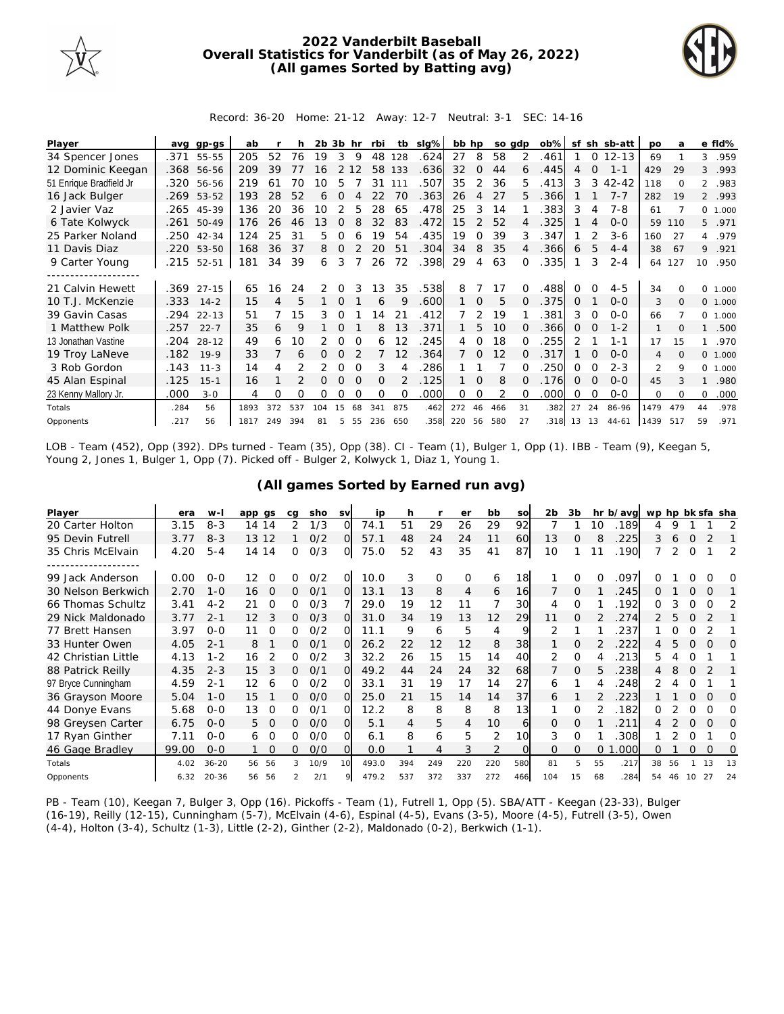

## **2022 Vanderbilt Baseball Overall Statistics for Vanderbilt (as of May 26, 2022) (All games Sorted by Batting avg)**



Record: 36-20 Home: 21-12 Away: 12-7 Neutral: 3-1 SEC: 14-16

| Player                  | ava  | $qp-GS$    | ab   |     |     | $2b$ $3b$ hr |          |          | rbi      | tb       | slg% | bb hp  |                |     | so adp   | $ob\%$  | sf            |          | sh sb-att | <b>DO</b>      | a        |                | e fld%  |
|-------------------------|------|------------|------|-----|-----|--------------|----------|----------|----------|----------|------|--------|----------------|-----|----------|---------|---------------|----------|-----------|----------------|----------|----------------|---------|
| 34 Spencer Jones        | .371 | 55-55      | 205  | 52  | 76  | 19           | 3        | 9        | 48       | 128      | .624 | 27     | 8              | 58  | 2        | .461    |               | $\Omega$ | $12 - 13$ | 69             |          | 3              | .959    |
| 12 Dominic Keegan       |      | .368 56-56 | 209  | 39  |     | 16           |          | 12       | 58       | 133      | .636 | 32     | $\Omega$       | 44  | 6        | .445    | 4             | $\Omega$ | $1 - 1$   | 429            | 29       | 3              | .993    |
| 51 Enrique Bradfield Jr | .320 | 56-56      | 219  | 61  | 70  | 10           | 5        |          | 31       | 111      | .507 | 35     | 2              | 36  | 5.       | 413     | 3             | 3        | $42 - 42$ | 118            | $\Omega$ | $\overline{2}$ | .983    |
| 16 Jack Bulger          | .269 | 53-52      | 193  | 28  | 52  | 6            | $\Omega$ | Δ        | 22       | 70       | .363 | 26     | $\overline{4}$ | 27  | 5.       | .366    |               |          | $7 - 7$   | 282            | 19       |                | 2 .993  |
| 2 Javier Vaz            |      | .265 45-39 | 136  | 20  | 36  | 10           |          | 5        | 28       | 65       | .478 | 25     | 3              | 14  |          | .383    | 3             | 4        | $7 - 8$   | 61             |          |                | 0 1.000 |
| 6 Tate Kolwyck          | .261 | 50-49      | 176  | 26  | 46  | 13           | $\Omega$ |          | 32       | 83       | .472 | 15     | $\mathcal{P}$  | 52  | 4        | .325    |               |          | $0 - 0$   | 59             | 110      | 5              | .971    |
| 25 Parker Noland        | .250 | 42-34      | 124  | 25  | 31  | 5.           | 0        | 6        | 19       | 54       | .435 | 19     | <sup>o</sup>   | 39  | 3        | .347    |               |          | $3 - 6$   | 160            | 27       | $\overline{4}$ | .979    |
| 11 Davis Diaz           |      | .220 53-50 | 168  | 36  | 37  | 8            | 0        | 2        | 20       | 51       | .304 | 34     | 8              | 35  |          | .366    | 6             | 5        | $4 - 4$   | 38             | 67       | 9              | .921    |
| 9 Carter Young          | .215 | 52-51      | 181  | 34  | 39  | 6            | 3        |          | 26       | 72       | .398 | 29     | $\overline{4}$ | 63  |          | .335    |               | 3        | $2 - 4$   | 64             | 127      | 10             | .950    |
|                         |      |            |      |     |     |              |          |          |          |          |      |        |                |     |          |         |               |          |           |                |          |                |         |
| 21 Calvin Hewett        |      | .369 27-15 | 65   | 16  | 24  | 2            | 0        |          | 13       | 35       | .538 | 8      |                | 17  |          | 488     |               |          | $4 - 5$   | 34             |          | <sup>o</sup>   | 1.000   |
| 10 T.J. McKenzie        | .333 | $14 - 2$   | 15   | 4   | 5   |              | $\Omega$ |          | 6        | 9        | .600 | 1      | $\Omega$       | 5   |          | .375    | $\Omega$      |          | $O-O$     | 3              | $\Omega$ |                | 0 1.000 |
| 39 Gavin Casas          | .294 | $22 - 13$  | 51   |     | 15  | 3            | 0        |          | 4        | 21       | .412 |        |                | 19  |          | 381     | 3             | $\Omega$ | $O-O$     | 66             |          |                | 0 1.000 |
| 1 Matthew Polk          | .257 | $22 - 7$   | 35   | 6   | 9   |              | $\Omega$ |          | 8        | 13       | .371 |        | 5              | 10  |          | .366    | 0             | $\Omega$ | $1 - 2$   |                | $\Omega$ |                | .500    |
| 13 Jonathan Vastine     | .204 | $28 - 12$  | 49   | 6   | 10  | 2            | 0        |          | 6        | 12       | 245  | 4      | $\Omega$       | 18  |          | 255     | $\mathcal{P}$ |          | $1 - 1$   | 17             | 15       |                | .970    |
| 19 Troy LaNeve          | .182 | $19-9$     | 33   |     | 6   | 0            | $\Omega$ |          |          | 12       | .364 |        | $\Omega$       | 12  |          | 317     |               |          | $0 - 0$   | $\overline{4}$ | $\Omega$ | $\circ$        | 1.000   |
| 3 Rob Gordon            | .143 | $11 - 3$   | 14   |     |     | 2            | 0        | $\Omega$ | 3        |          | 286  |        |                |     |          | 250     | $\Omega$      | 0        | $2 - 3$   | 2              | 9        | 0              | 1.000   |
| 45 Alan Espinal         | .125 | $15 - 1$   | 16   |     |     | 0            | $\Omega$ | $\Omega$ | $\Omega$ | 2        | .125 |        | 0              | 8   | $\Omega$ | .176    | $\Omega$      | $\Omega$ | $0 - 0$   | 45             |          |                | .980    |
| 23 Kenny Mallory Jr.    | .000 | $3 - 0$    | 4    | O   | 0   | Ω            | O        |          | $\Omega$ | $\Omega$ | .000 | 0      | 0              |     |          | .000    | O             | $\Omega$ | $0 - 0$   | 0              | $\Omega$ | 0              | .000    |
| Totals                  | .284 | 56         | 1893 | 372 | 537 | 104          | 15       | 68       | 341      | 875      | .462 | 272    | 46             | 466 | 31       | .382    | 27            | 24       | 86-96     | 1479           | 479      | 44             | .978    |
| Opponents               | .217 | 56         | 1817 | 249 | 394 | 81           | 5        | 55       | 236      | 650      | 358  | 220 56 |                | 580 | 27       | .318 13 |               | 13       | $44 - 61$ | 1439           | 517      | 59             | .971    |

LOB - Team (452), Opp (392). DPs turned - Team (35), Opp (38). CI - Team (1), Bulger 1, Opp (1). IBB - Team (9), Keegan 5, Young 2, Jones 1, Bulger 1, Opp (7). Picked off - Bulger 2, Kolwyck 1, Diaz 1, Young 1.

| Player              | era   | $W -$     | app qs         | ca | sho  | <b>SV</b> | ip    | h   |                | er       | bb  | so       | 2 <sub>b</sub> | 3b       |    | hr b/avg | wp hp bk sfa sha |    |          |          |          |
|---------------------|-------|-----------|----------------|----|------|-----------|-------|-----|----------------|----------|-----|----------|----------------|----------|----|----------|------------------|----|----------|----------|----------|
| 20 Carter Holton    | 3.15  | $8 - 3$   | 14 14          | 2  | 1/3  | O         | 74.1  | 51  | 29             | 26       | 29  | 92       |                |          | 10 | .189     | 4                | 9  |          |          |          |
| 95 Devin Futrell    | 3.77  | $8 - 3$   | 13 12          |    | O/2  | $\Omega$  | 57.1  | 48  | 24             | 24       | 11  | 60       | 13             | 0        | 8  | 225      | 3                | 6  | $\Omega$ |          |          |
| 35 Chris McElvain   | 4.20  | $5 - 4$   | 14 14          | 0  | O/3  | O         | 75.0  | 52  | 43             | 35       | 41  | 87       | 10             |          |    | .190     |                  | 2  | $\Omega$ |          | 2        |
|                     |       |           |                |    |      |           |       |     |                |          |     |          |                |          |    |          |                  |    |          |          |          |
| 99 Jack Anderson    | 0.00  | $O - O$   | 12<br>$\Omega$ | 0  | O/2  | O         | 10.0  | 3   | O              | $\Omega$ | 6   | 18       |                | O        |    | 097      |                  |    |          |          | O        |
| 30 Nelson Berkwich  | 2.70  | $1 - 0$   | 16<br>$\Omega$ | 0  | O/1  | Ω         | 13.1  | 13  | 8              | 4        | 6   | 16       |                | $\Omega$ |    | 245      | 0                |    | $\Omega$ | $\Omega$ |          |
| 66 Thomas Schultz   | 3.41  | $4 - 2$   | 21<br>$\Omega$ | 0  | O/3  |           | 29.0  | 19  | 12             | 11       |     | 30       | 4              | O        |    | 192      | 0                |    | $\Omega$ | $\Omega$ | 2        |
| 29 Nick Maldonado   | 3.77  | $2 - 1$   | 3<br>12        | 0  | O/3  | Ω         | 31.0  | 34  | 19             | 13       | 12  | 29       | 11             | $\Omega$ |    | 274      | 2                | 5  | $\Omega$ | 2        |          |
| 77 Brett Hansen     | 3.97  | $O - O$   | 11<br>Ω        | 0  | 0/2  |           | 11.1  | 9   | 6              | 5        | 4   | 9        | 2              |          |    | 237      |                  |    |          |          |          |
| 33 Hunter Owen      | 4.05  | $2 - 1$   | 8              | 0  | O/1  | $\Omega$  | 26.2  | 22  | 12             | 12       | 8   | 38       |                | $\Omega$ |    | 222      | 4                | 5  | $\Omega$ | $\Omega$ | $\Omega$ |
| 42 Christian Little | 4.13  | $1 - 2$   | 2<br>16        | 0  | O/2  | 3         | 32.2  | 26  | 15             | 15       | 14  | 40       | 2              | $\Omega$ |    | 213      | 5.               |    | ∩        |          |          |
| 88 Patrick Reilly   | 4.35  | $2 - 3$   | 15<br>3        | Ω  | O/1  | Ω         | 49.2  | 44  | 24             | 24       | 32  | 68       |                | $\Omega$ | 5. | 238      | 4                | 8  | $\Omega$ |          |          |
| 97 Bryce Cunningham | 4.59  | $2 - 1$   | 12<br>6        | 0  | 0/2  | Ω         | 33.1  | 31  | 19             | 17       | 14  | 27       | 6              |          |    | 248      |                  |    |          |          |          |
| 36 Grayson Moore    | 5.04  | $1 - 0$   | 15             | 0  | O/O  | Ω         | 25.0  | 21  | 15             | 14       | 14  | 37       | 6              |          |    | 223      |                  |    |          | $\Omega$ | O        |
| 44 Donye Evans      | 5.68  | $0 - 0$   | $\Omega$<br>13 | 0  | 0/1  | Ω         | 12.2  | 8   | 8              | 8        | 8   | 13       |                | $\Omega$ |    | .182     | 0                |    | 0        | 0        | 0        |
| 98 Greysen Carter   | 6.75  | $0 - 0$   | $\Omega$<br>5. | 0  | O/O  | O         | 5.1   | 4   | 5              | 4        | 10  | 6        | $\Omega$       | $\Omega$ |    | 211      |                  |    | $\Omega$ | $\Omega$ | O        |
| 17 Ryan Ginther     | 7.11  | $0 - 0$   | $\Omega$<br>6  | 0  | O/O  | O         | 6.1   | 8   | 6              | 5        | 2   | 10       | 3              | $\Omega$ |    | 308      |                  |    | $\Omega$ |          | Ω        |
| 46 Gage Bradley     | 99.00 | $0 - 0$   | $\Omega$       | 0  | O/O  | Ω         | 0.0   |     | $\overline{4}$ | 3        | 2   | $\Omega$ | 0              | $\Omega$ | 0  | 000      | 0                |    | $\Omega$ | $\Omega$ | Ω        |
| Totals              | 4.02  | $36 - 20$ | 56<br>56       | 3  | 10/9 | 10        | 493.0 | 394 | 249            | 220      | 220 | 580      | 81             | 5        | 55 | .217     | 38               | 56 |          | 13       | 13       |
| Opponents           | 6.32  | $20 - 36$ | 56<br>56       |    | 2/1  |           | 479.2 | 537 | 372            | 337      | 272 | 466      | 104            | 15       | 68 | 284      | 54               | 46 | 10       | 27       | 24       |

**(All games Sorted by Earned run avg)**

PB - Team (10), Keegan 7, Bulger 3, Opp (16). Pickoffs - Team (1), Futrell 1, Opp (5). SBA/ATT - Keegan (23-33), Bulger (16-19), Reilly (12-15), Cunningham (5-7), McElvain (4-6), Espinal (4-5), Evans (3-5), Moore (4-5), Futrell (3-5), Owen (4-4), Holton (3-4), Schultz (1-3), Little (2-2), Ginther (2-2), Maldonado (0-2), Berkwich (1-1).